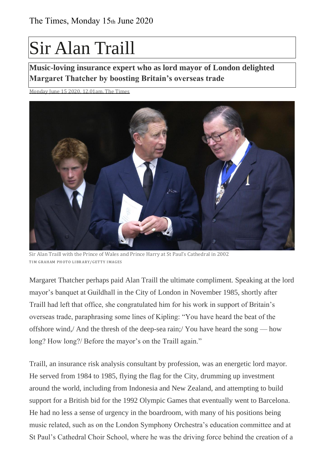## Sir Alan Traill

**Music-loving insurance expert who as lord mayor of London delighted Margaret Thatcher by boosting Britain's overseas trade**

Monday June  $15,2020,12,01$ am, The Times



Sir Alan Traill with the Prince of Wales and Prince Harry at St Paul's Cathedral in 2002 TIM GRAHAM PHOTO LIBRARY/ GETTY IMAGES

Margaret Thatcher perhaps paid Alan Traill the ultimate compliment. Speaking at the lord mayor's banquet at Guildhall in the City of London in November 1985, shortly after Traill had left that office, she congratulated him for his work in support of Britain's overseas trade, paraphrasing some lines of Kipling: "You have heard the beat of the offshore wind,/ And the thresh of the deep-sea rain;/ You have heard the song — how long? How long?/ Before the mayor's on the Traill again."

Traill, an insurance risk analysis consultant by profession, was an energetic lord mayor. He served from 1984 to 1985, flying the flag for the City, drumming up investment around the world, including from Indonesia and New Zealand, and attempting to build support for a British bid for the 1992 Olympic Games that eventually went to Barcelona. He had no less a sense of urgency in the boardroom, with many of his positions being music related, such as on the London Symphony Orchestra's education committee and at St Paul's Cathedral Choir School, where he was the driving force behind the creation of a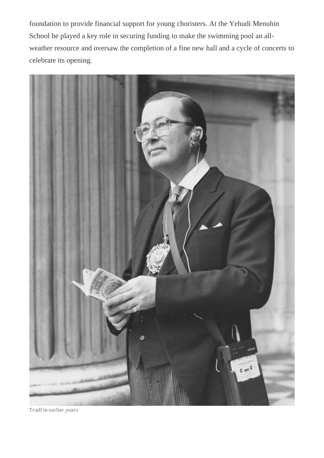foundation to provide financial support for young choristers. At the Yehudi Menuhin School he played a key role in securing funding to make the swimming pool an allweather resource and oversaw the completion of a fine new hall and a cycle of concerts to celebrate its opening.



Traill in earlier years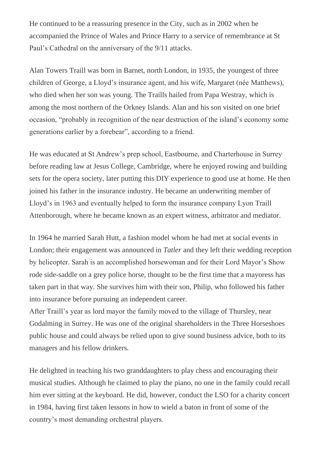He continued to be a reassuring presence in the City, such as in 2002 when he accompanied the Prince of Wales and Prince Harry to a service of remembrance at St Paul's Cathedral on the anniversary of the 9/11 attacks.

Alan Towers Traill was born in Barnet, north London, in 1935, the youngest of three children of George, a Lloyd's insurance agent, and his wife, Margaret (née Matthews), who died when her son was young. The Traills hailed from Papa Westray, which is among the most northern of the Orkney Islands. Alan and his son visited on one brief occasion, "probably in recognition of the near destruction of the island's economy some generations earlier by a forebear", according to a friend.

He was educated at St Andrew's prep school, Eastbourne, and Charterhouse in Surrey before reading law at Jesus College, Cambridge, where he enjoyed rowing and building sets for the opera society, later putting this DIY experience to good use at home. He then joined his father in the insurance industry. He became an underwriting member of Lloyd's in 1963 and eventually helped to form the insurance company Lyon Traill Attenborough, where he became known as an expert witness, arbitrator and mediator.

In 1964 he married Sarah Hutt, a fashion model whom he had met at social events in London; their engagement was announced in *Tatler* and they left their wedding reception by helicopter. Sarah is an accomplished horsewoman and for their Lord Mayor's Show rode side-saddle on a grey police horse, thought to be the first time that a mayoress has taken part in that way. She survives him with their son, Philip, who followed his father into insurance before pursuing an independent career.

After Traill's year as lord mayor the family moved to the village of Thursley, near Godalming in Surrey. He was one of the original shareholders in the Three Horseshoes public house and could always be relied upon to give sound business advice, both to its managers and his fellow drinkers.

He delighted in teaching his two granddaughters to play chess and encouraging their musical studies. Although he claimed to play the piano, no one in the family could recall him ever sitting at the keyboard. He did, however, conduct the LSO for a charity concert in 1984, having first taken lessons in how to wield a baton in front of some of the country's most demanding orchestral players.